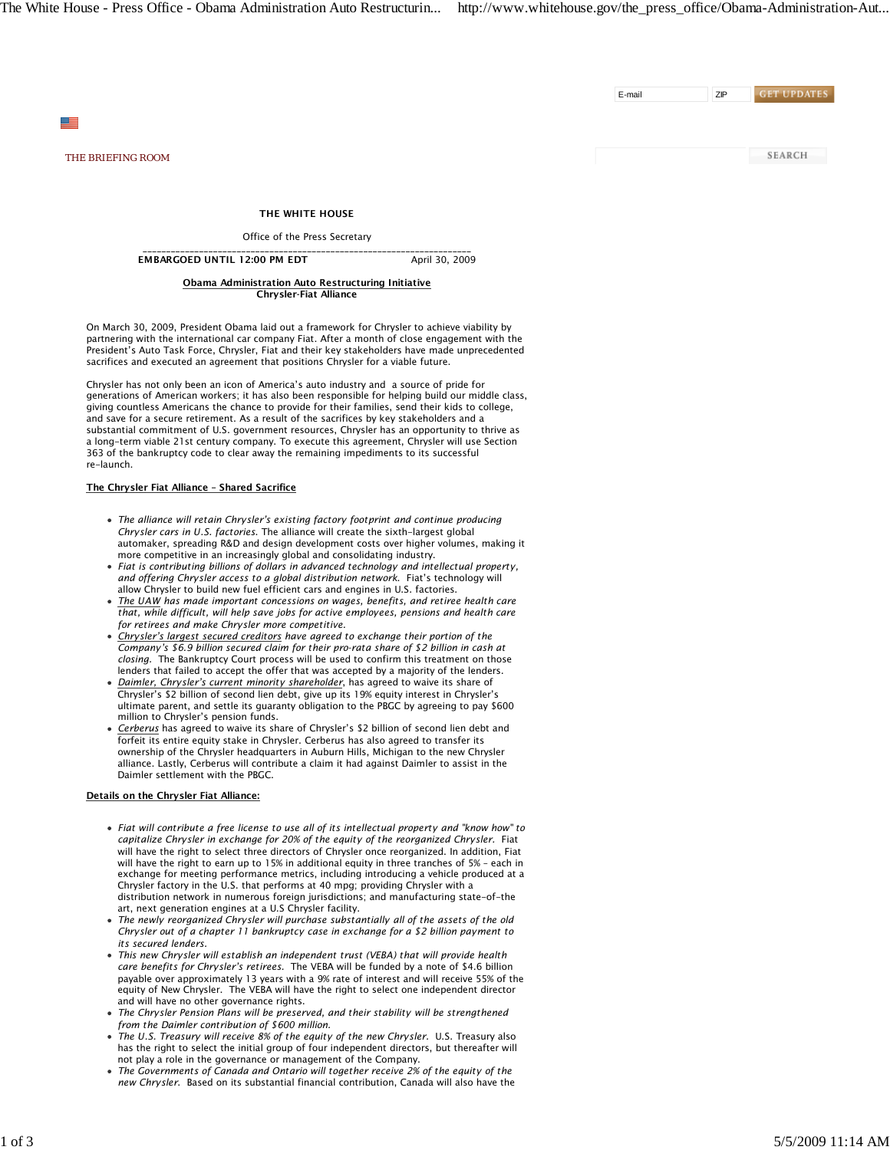E-mail ZIP

**GET UPDATES** 

**SEARCH** 

*THE BRIEFING ROOM*

≝

THE WHITE HOUSE

Office of the Press Secretary

\_\_\_\_\_\_\_\_\_\_\_\_\_\_\_\_\_\_\_\_\_\_\_\_\_\_\_\_\_\_\_\_\_\_\_\_\_\_\_\_\_\_\_\_\_\_\_\_\_\_\_\_\_\_\_\_\_\_\_\_\_\_\_\_\_\_\_\_\_\_ EMBARGOED UNTIL 12:00 PM EDT April 30, 2009

> Obama Administration Auto Restructuring Initiative Chrysler-Fiat Alliance

On March 30, 2009, President Obama laid out a framework for Chrysler to achieve viability by partnering with the international car company Fiat. After a month of close engagement with the President's Auto Task Force, Chrysler, Fiat and their key stakeholders have made unprecedented sacrifices and executed an agreement that positions Chrysler for a viable future.

Chrysler has not only been an icon of America's auto industry and a source of pride for generations of American workers; it has also been responsible for helping build our middle class, giving countless Americans the chance to provide for their families, send their kids to college, and save for a secure retirement. As a result of the sacrifices by key stakeholders and a substantial commitment of U.S. government resources, Chrysler has an opportunity to thrive as a long-term viable 21st century company. To execute this agreement, Chrysler will use Section 363 of the bankruptcy code to clear away the remaining impediments to its successful re-launch.

# The Chrysler Fiat Alliance – Shared Sacrifice

- *The alliance will retain Chrysler's existing factory footprint and continue producing Chrysler cars in U.S. factories*. The alliance will create the sixth-largest global automaker, spreading R&D and design development costs over higher volumes, making it more competitive in an increasingly global and consolidating industry.
- *Fiat is contributing billions of dollars in advanced technology and intellectual property, and offering Chrysler access to a global distribution network*. Fiat's technology will allow Chrysler to build new fuel efficient cars and engines in U.S. factories.
- *The UAW has made important concessions on wages, benefits, and retiree health care that, while difficult, will help save jobs for active employees, pensions and health care for retirees and make Chrysler more competitive.*
- *Chrysler's largest secured creditors have agreed to exchange their portion of the Company's \$6.9 billion secured claim for their pro-rata share of \$2 billion in cash at closing.* The Bankruptcy Court process will be used to confirm this treatment on those lenders that failed to accept the offer that was accepted by a majority of the lenders.
- *Daimler, Chrysler's current minority shareholder*, has agreed to waive its share of Chrysler's \$2 billion of second lien debt, give up its 19% equity interest in Chrysler's ultimate parent, and settle its guaranty obligation to the PBGC by agreeing to pay \$600 million to Chrysler's pension funds.
- *Cerberus* has agreed to waive its share of Chrysler's \$2 billion of second lien debt and forfeit its entire equity stake in Chrysler. Cerberus has also agreed to transfer its ownership of the Chrysler headquarters in Auburn Hills, Michigan to the new Chrysler alliance. Lastly, Cerberus will contribute a claim it had against Daimler to assist in the Daimler settlement with the PBGC.

## Details on the Chrysler Fiat Alliance:

- *Fiat will contribute a free license to use all of its intellectual property and "know how" to capitalize Chrysler in exchange for 20% of the equity of the reorganized Chrysler.* Fiat will have the right to select three directors of Chrysler once reorganized. In addition, Fiat will have the right to earn up to 15% in additional equity in three tranches of 5% – each in exchange for meeting performance metrics, including introducing a vehicle produced at a Chrysler factory in the U.S. that performs at 40 mpg; providing Chrysler with a distribution network in numerous foreign jurisdictions; and manufacturing state-of-the art, next generation engines at a U.S Chrysler facility.
- *The newly reorganized Chrysler will purchase substantially all of the assets of the old Chrysler out of a chapter 11 bankruptcy case in exchange for a \$2 billion payment to its secured lenders.*
- *This new Chrysler will establish an independent trust (VEBA) that will provide health care benefits for Chrysler's retirees.* The VEBA will be funded by a note of \$4.6 billion payable over approximately 13 years with a 9% rate of interest and will receive 55% of the equity of New Chrysler. The VEBA will have the right to select one independent director and will have no other governance rights.
- *The Chrysler Pension Plans will be preserved, and their stability will be strengthened from the Daimler contribution of \$600 million.*
- *The U.S. Treasury will receive 8% of the equity of the new Chrysler.* U.S. Treasury also has the right to select the initial group of four independent directors, but thereafter will not play a role in the governance or management of the Company.
- *The Governments of Canada and Ontario will together receive 2% of the equity of the new Chrysler*. Based on its substantial financial contribution, Canada will also have the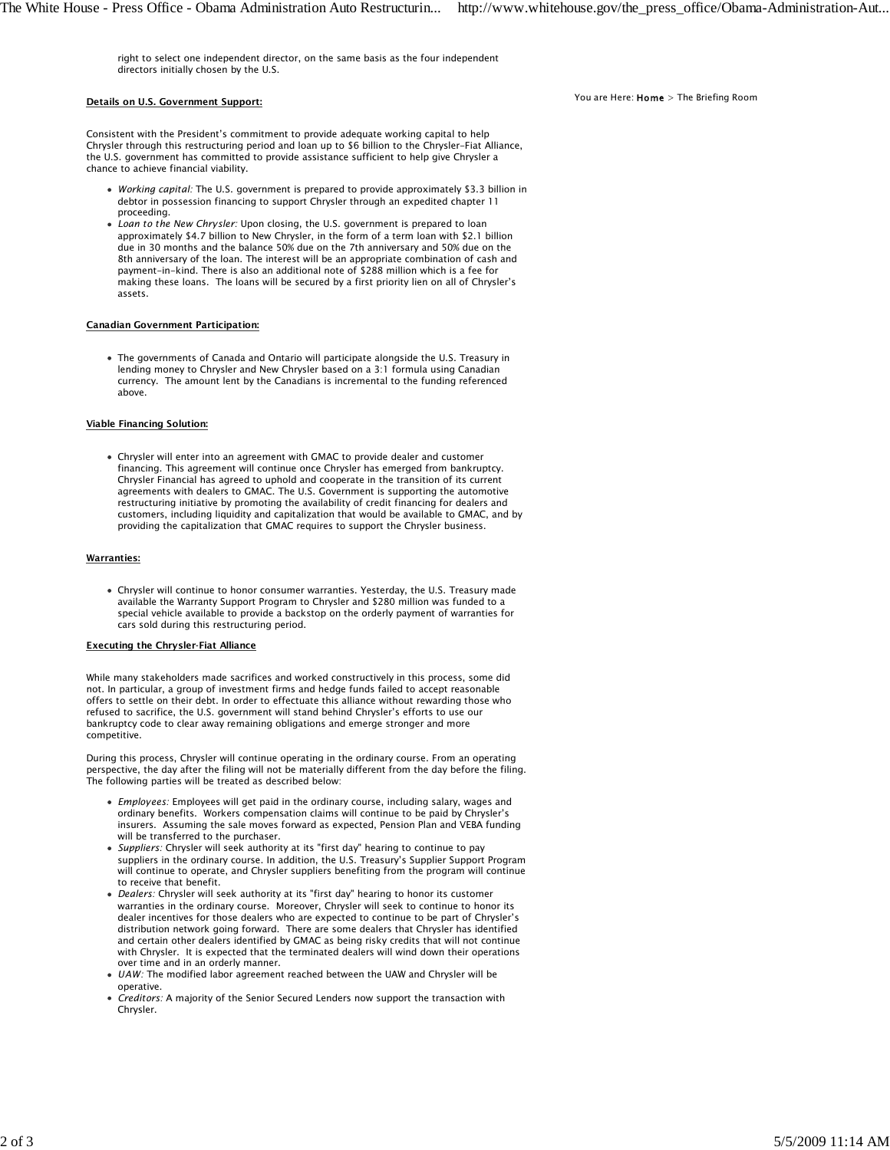right to select one independent director, on the same basis as the four independent directors initially chosen by the U.S.

## Details on U.S. Government Support:

Consistent with the President's commitment to provide adequate working capital to help Chrysler through this restructuring period and loan up to \$6 billion to the Chrysler-Fiat Alliance, the U.S. government has committed to provide assistance sufficient to help give Chrysler a chance to achieve financial viability.

- *Working capital:* The U.S. government is prepared to provide approximately \$3.3 billion in debtor in possession financing to support Chrysler through an expedited chapter 11 proceeding.
- *Loan to the New Chrysler:* Upon closing, the U.S. government is prepared to loan approximately \$4.7 billion to New Chrysler, in the form of a term loan with \$2.1 billion due in 30 months and the balance 50% due on the 7th anniversary and 50% due on the 8th anniversary of the loan. The interest will be an appropriate combination of cash and payment-in-kind. There is also an additional note of \$288 million which is a fee for making these loans. The loans will be secured by a first priority lien on all of Chrysler's assets.

### Canadian Government Participation:

The governments of Canada and Ontario will participate alongside the U.S. Treasury in lending money to Chrysler and New Chrysler based on a 3:1 formula using Canadian currency. The amount lent by the Canadians is incremental to the funding referenced above.

## Viable Financing Solution:

Chrysler will enter into an agreement with GMAC to provide dealer and customer financing. This agreement will continue once Chrysler has emerged from bankruptcy. Chrysler Financial has agreed to uphold and cooperate in the transition of its current agreements with dealers to GMAC. The U.S. Government is supporting the automotive restructuring initiative by promoting the availability of credit financing for dealers and customers, including liquidity and capitalization that would be available to GMAC, and by providing the capitalization that GMAC requires to support the Chrysler business.

## Warranties:

Chrysler will continue to honor consumer warranties. Yesterday, the U.S. Treasury made available the Warranty Support Program to Chrysler and \$280 million was funded to a special vehicle available to provide a backstop on the orderly payment of warranties for cars sold during this restructuring period.

#### Executing the Chrysler-Fiat Alliance

While many stakeholders made sacrifices and worked constructively in this process, some did not. In particular, a group of investment firms and hedge funds failed to accept reasonable offers to settle on their debt. In order to effectuate this alliance without rewarding those who refused to sacrifice, the U.S. government will stand behind Chrysler's efforts to use our bankruptcy code to clear away remaining obligations and emerge stronger and more competitive.

During this process, Chrysler will continue operating in the ordinary course. From an operating perspective, the day after the filing will not be materially different from the day before the filing. The following parties will be treated as described below:

- *Employees:* Employees will get paid in the ordinary course, including salary, wages and ordinary benefits. Workers compensation claims will continue to be paid by Chrysler's insurers. Assuming the sale moves forward as expected, Pension Plan and VEBA funding will be transferred to the purchaser.
- *Suppliers:* Chrysler will seek authority at its "first day" hearing to continue to pay suppliers in the ordinary course. In addition, the U.S. Treasury's Supplier Support Program will continue to operate, and Chrysler suppliers benefiting from the program will continue to receive that benefit.
- *Dealers:* Chrysler will seek authority at its "first day" hearing to honor its customer warranties in the ordinary course. Moreover, Chrysler will seek to continue to honor its dealer incentives for those dealers who are expected to continue to be part of Chrysler's distribution network going forward. There are some dealers that Chrysler has identified and certain other dealers identified by GMAC as being risky credits that will not continue with Chrysler. It is expected that the terminated dealers will wind down their operations over time and in an orderly manner.
- *UAW:* The modified labor agreement reached between the UAW and Chrysler will be operative.
- *Creditors:* A majority of the Senior Secured Lenders now support the transaction with Chrysler.

#### You are Here:  $Home > The Briefing Room$